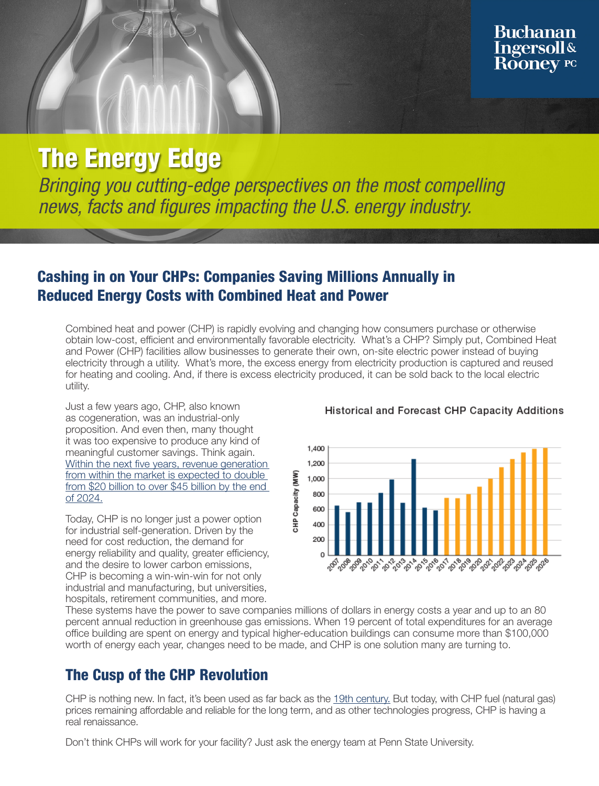# **The Energy Edge**

Bringing you cutting-edge perspectives on the most compelling news, facts and figures impacting the U.S. energy industry.

### Cashing in on Your CHPs: Companies Saving Millions Annually in Reduced Energy Costs with Combined Heat and Power

Combined heat and power (CHP) is rapidly evolving and changing how consumers purchase or otherwise obtain low-cost, efficient and environmentally favorable electricity. What's a CHP? Simply put, Combined Heat and Power (CHP) facilities allow businesses to generate their own, on-site electric power instead of buying electricity through a utility. What's more, the excess energy from electricity production is captured and reused for heating and cooling. And, if there is excess electricity produced, it can be sold back to the local electric utility.

Just a few years ago, CHP, also known as cogeneration, was an industrial-only proposition. And even then, many thought it was too expensive to produce any kind of meaningful customer savings. Think again. [Within the next five years, revenue generation](https://www.smart-energy.com/industry-sectors/business-finance-regulation/45-billion-massive-revenue-expected-chp-market/)  [from within the market is expected to double](https://www.smart-energy.com/industry-sectors/business-finance-regulation/45-billion-massive-revenue-expected-chp-market/)  [from \\$20 billion to over \\$45 billion by the end](https://www.smart-energy.com/industry-sectors/business-finance-regulation/45-billion-massive-revenue-expected-chp-market/)  [of 2024.](https://www.smart-energy.com/industry-sectors/business-finance-regulation/45-billion-massive-revenue-expected-chp-market/)

Today, CHP is no longer just a power option for industrial self-generation. Driven by the need for cost reduction, the demand for energy reliability and quality, greater efficiency, and the desire to lower carbon emissions, CHP is becoming a win-win-win for not only industrial and manufacturing, but universities, hospitals, retirement communities, and more.

#### Historical and Forecast CHP Capacity Additions



These systems have the power to save companies millions of dollars in energy costs a year and up to an 80 percent annual reduction in greenhouse gas emissions. When 19 percent of total expenditures for an average office building are spent on energy and typical higher-education buildings can consume more than \$100,000 worth of energy each year, changes need to be made, and CHP is one solution many are turning to.

### The Cusp of the CHP Revolution

CHP is nothing new. In fact, it's been used as far back as the [19th century.](https://web.archive.org/web/20080425015724/http:/www.cogeneration.net/ThomasEdisonsCogenPlant.htm) But today, with CHP fuel (natural gas) prices remaining affordable and reliable for the long term, and as other technologies progress, CHP is having a real renaissance.

Don't think CHPs will work for your facility? Just ask the energy team at Penn State University.